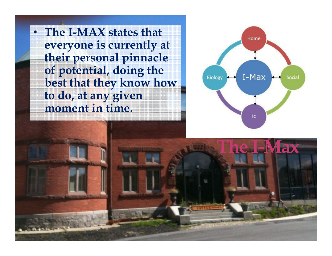$\bullet$  **The I-MAX states that everyone is currently at their personal pinnacle of potential, doing the best that they know how to do, at any given moment in time.** 



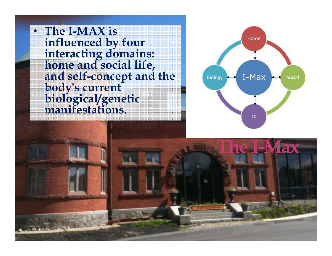• **The I-MAX is influenced by four interacting domains: home and social life, and self-concept and the body's current biological/genetic manifestations.** 



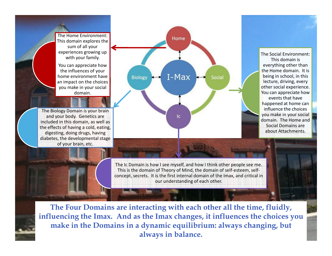The Home Environment: This domain explores the sum of all your experiences growing up with your family.

You can appreciate how the influences of your home environment have an impact on the choices you make in your social domain.

The Biology Domain is your brain and your body. Genetics are included in this domain, as well as digesting, doing drugs, having diabetes, the developmental stage of your brain, etc.



This domain is everything other than the Home domain. It is being in school, in this lecture, driving, every other social experience. You can appreciate how events that have happened at home can influence the choices you make in your social domain. The Home and Social Domains are

The Social Environment:

The Ic Domain is how I see myself, and how I think other people see me. This is the domain of Theory of Mind, the domain of self-esteem, selfconcept, secrets. It is the first internal domain of the Imax, and critical in our understanding of each other.

**The Four Domains are interacting with each other all the time, fluidly, influencing the Imax. And as the Imax changes, it influences the choices you make in the Domains in a dynamic equilibrium: always changing, but always in balance.**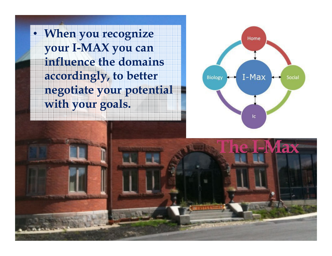• **When you recognize your I-MAX you can influence the domains accordingly, to better negotiate your potential with your goals.** 



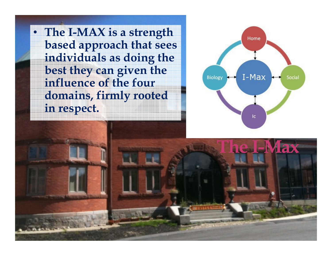• **The I-MAX is a strength based approach that sees individuals as doing the best they can given the influence of the four domains, firmly rooted in respect.** 



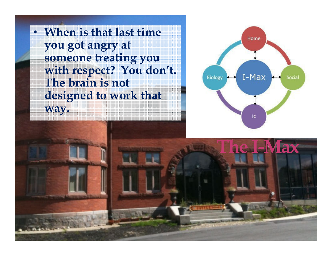• **When is that last time you got angry at someone treating you with respect? You don't. The brain is not designed to work that way.**